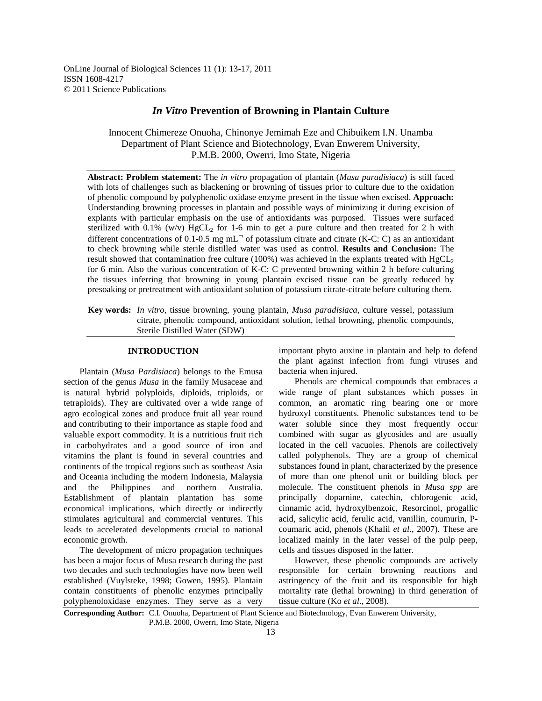OnLine Journal of Biological Sciences 11 (1): 13-17, 2011 ISSN 1608-4217 © 2011 Science Publications

# *In Vitro* **Prevention of Browning in Plantain Culture**

Innocent Chimereze Onuoha, Chinonye Jemimah Eze and Chibuikem I.N. Unamba Department of Plant Science and Biotechnology, Evan Enwerem University, P.M.B. 2000, Owerri, Imo State, Nigeria

**Abstract: Problem statement:** The *in vitro* propagation of plantain (*Musa paradisiaca*) is still faced with lots of challenges such as blackening or browning of tissues prior to culture due to the oxidation of phenolic compound by polyphenolic oxidase enzyme present in the tissue when excised. **Approach:** Understanding browning processes in plantain and possible ways of minimizing it during excision of explants with particular emphasis on the use of antioxidants was purposed. Tissues were surfaced sterilized with 0.1% (w/v)  $HgCL<sub>2</sub>$  for 1-6 min to get a pure culture and then treated for 2 h with different concentrations of 0.1-0.5 mg mL<sup>-1</sup> of potassium citrate and citrate (K-C: C) as an antioxidant to check browning while sterile distilled water was used as control. **Results and Conclusion:** The result showed that contamination free culture (100%) was achieved in the explants treated with  $HgCL<sub>2</sub>$ for 6 min. Also the various concentration of K-C: C prevented browning within 2 h before culturing the tissues inferring that browning in young plantain excised tissue can be greatly reduced by presoaking or pretreatment with antioxidant solution of potassium citrate-citrate before culturing them.

**Key words:** *In vitro*, tissue browning, young plantain, *Musa paradisiaca*, culture vessel, potassium citrate, phenolic compound, antioxidant solution, lethal browning, phenolic compounds, Sterile Distilled Water (SDW)

## **INTRODUCTION**

 Plantain (*Musa Pardisiaca*) belongs to the Emusa section of the genus *Musa* in the family Musaceae and is natural hybrid polyploids, diploids, triploids, or tetraploids). They are cultivated over a wide range of agro ecological zones and produce fruit all year round and contributing to their importance as staple food and valuable export commodity. It is a nutritious fruit rich in carbohydrates and a good source of iron and vitamins the plant is found in several countries and continents of the tropical regions such as southeast Asia and Oceania including the modern Indonesia, Malaysia and the Philippines and northern Australia. Establishment of plantain plantation has some economical implications, which directly or indirectly stimulates agricultural and commercial ventures. This leads to accelerated developments crucial to national economic growth.

 The development of micro propagation techniques has been a major focus of Musa research during the past two decades and such technologies have now been well established (Vuylsteke, 1998; Gowen, 1995). Plantain contain constituents of phenolic enzymes principally polyphenoloxidase enzymes. They serve as a very important phyto auxine in plantain and help to defend the plant against infection from fungi viruses and bacteria when injured.

 Phenols are chemical compounds that embraces a wide range of plant substances which posses in common, an aromatic ring bearing one or more hydroxyl constituents. Phenolic substances tend to be water soluble since they most frequently occur combined with sugar as glycosides and are usually located in the cell vacuoles. Phenols are collectively called polyphenols. They are a group of chemical substances found in plant, characterized by the presence of more than one phenol unit or building block per molecule. The constituent phenols in *Musa spp* are principally doparnine, catechin, chlorogenic acid, cinnamic acid, hydroxylbenzoic, Resorcinol, progallic acid, salicylic acid, ferulic acid, vanillin, coumurin, Pcoumaric acid, phenols (Khalil *et al*., 2007). These are localized mainly in the later vessel of the pulp peep, cells and tissues disposed in the latter.

 However, these phenolic compounds are actively responsible for certain browning reactions and astringency of the fruit and its responsible for high mortality rate (lethal browning) in third generation of tissue culture (Ko *et al*., 2008).

**Corresponding Author:** C.I. Onuoha, Department of Plant Science and Biotechnology, Evan Enwerem University, P.M.B. 2000, Owerri, Imo State, Nigeria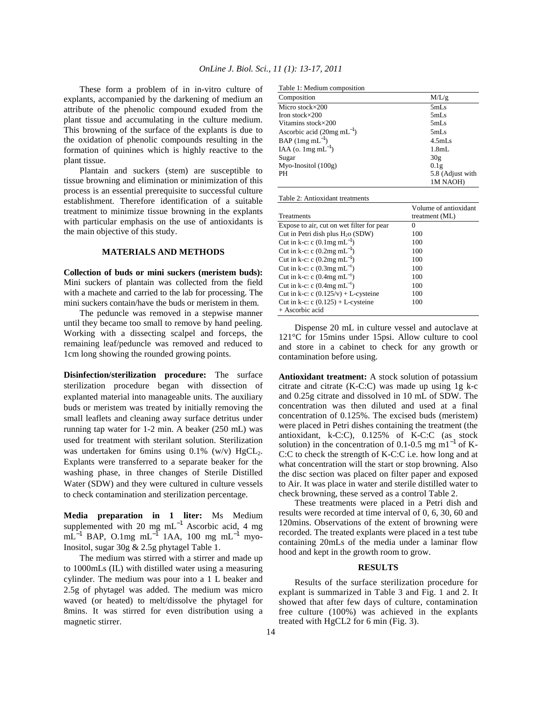These form a problem of in in-vitro culture of explants, accompanied by the darkening of medium an attribute of the phenolic compound exuded from the plant tissue and accumulating in the culture medium. This browning of the surface of the explants is due to the oxidation of phenolic compounds resulting in the formation of quinines which is highly reactive to the plant tissue.

 Plantain and suckers (stem) are susceptible to tissue browning and elimination or minimization of this process is an essential prerequisite to successful culture establishment. Therefore identification of a suitable treatment to minimize tissue browning in the explants with particular emphasis on the use of antioxidants is the main objective of this study.

#### **MATERIALS AND METHODS**

**Collection of buds or mini suckers (meristem buds):** Mini suckers of plantain was collected from the field with a machete and carried to the lab for processing. The mini suckers contain/have the buds or meristem in them.

 The peduncle was removed in a stepwise manner until they became too small to remove by hand peeling. Working with a dissecting scalpel and forceps, the remaining leaf/peduncle was removed and reduced to 1cm long showing the rounded growing points.

**Disinfection/sterilization procedure:** The surface sterilization procedure began with dissection of explanted material into manageable units. The auxiliary buds or meristem was treated by initially removing the small leaflets and cleaning away surface detritus under running tap water for 1-2 min. A beaker (250 mL) was used for treatment with sterilant solution. Sterilization was undertaken for 6mins using  $0.1\%$  (w/v) HgCL<sub>2</sub>. Explants were transferred to a separate beaker for the washing phase, in three changes of Sterile Distilled Water (SDW) and they were cultured in culture vessels to check contamination and sterilization percentage.

**Media preparation in 1 liter:** Ms Medium supplemented with 20 mg mL<sup>-1</sup> Ascorbic acid, 4 mg  $mL^{-1}$  BAP, O.1mg mL<sup>-1</sup> 1AA, 100 mg mL<sup>-1</sup> myo-Inositol, sugar 30g & 2.5g phytagel Table 1.

 The medium was stirred with a stirrer and made up to 1000mLs (IL) with distilled water using a measuring cylinder. The medium was pour into a 1 L beaker and 2.5g of phytagel was added. The medium was micro waved (or heated) to melt/dissolve the phytagel for 8mins. It was stirred for even distribution using a magnetic stirrer.

|  |  |  | Table 1: Medium composition |
|--|--|--|-----------------------------|
|--|--|--|-----------------------------|

| rable 1. Medium composition       |                    |
|-----------------------------------|--------------------|
| Composition                       | M/L/g              |
| Micro stock $\times$ 200          | 5mLs               |
| Iron stock $\times$ 200           | 5mLs               |
| Vitamins stock×200                | 5mLs               |
| Ascorbic acid $(20mg \, mL^{-1})$ | 5mLs               |
| $BAP$ (1mg mL <sup>-1</sup> )     | 4.5mLs             |
| IAA (o. $1mg$ mL <sup>-1</sup> )  | 1.8 <sub>m</sub> L |
| Sugar                             | 30g                |
| $M$ yo-Inositol $(100g)$          | 0.1g               |
| PН                                | 5.8 (Adjust with   |
|                                   | 1M NAOH)           |

Table 2: Antioxidant treatments

| Treatments                                | Volume of antioxidant<br>treatment (ML) |
|-------------------------------------------|-----------------------------------------|
| Expose to air, cut on wet filter for pear | 0                                       |
| Cut in Petri dish plus $H2o$ (SDW)        | 100                                     |
| Cut in k-c: c $(0.1mg \, mL^{-1})$        | 100                                     |
| Cut in k-c: c $(0.2mg \, mL^{-1})$        | 100                                     |
| Cut in k-c: c $(0.2mg \, mL^{-1})$        | 100                                     |
| Cut in k-c: c $(0.3mg \, mL^{-1})$        | 100                                     |
| Cut in k-c: c $(0.4mg \, mL^{-1})$        | 100                                     |
| Cut in k-c: c $(0.4mg \, mL^{-1})$        | 100                                     |
| Cut in k-c: $c$ (0.125/v) + L-cysteine    | 100                                     |
| Cut in k-c: $c$ (0.125) + L-cysteine      | 100                                     |
| + Ascorbic acid                           |                                         |

 Dispense 20 mL in culture vessel and autoclave at 121°C for 15mins under 15psi. Allow culture to cool and store in a cabinet to check for any growth or contamination before using.

**Antioxidant treatment:** A stock solution of potassium citrate and citrate (K-C:C) was made up using 1g k-c and 0.25g citrate and dissolved in 10 mL of SDW. The concentration was then diluted and used at a final concentration of 0.125%. The excised buds (meristem) were placed in Petri dishes containing the treatment (the antioxidant, k-C:C), 0.125% of K-C:C (as stock solution) in the concentration of 0.1-0.5 mg m1<sup>-1</sup> of K-C:C to check the strength of K-C:C i.e. how long and at what concentration will the start or stop browning. Also the disc section was placed on filter paper and exposed to Air. It was place in water and sterile distilled water to check browning, these served as a control Table 2.

 These treatments were placed in a Petri dish and results were recorded at time interval of 0, 6, 30, 60 and 120mins. Observations of the extent of browning were recorded. The treated explants were placed in a test tube containing 20mLs of the media under a laminar flow hood and kept in the growth room to grow.

#### **RESULTS**

 Results of the surface sterilization procedure for explant is summarized in Table 3 and Fig. 1 and 2. It showed that after few days of culture, contamination free culture (100%) was achieved in the explants treated with HgCL2 for 6 min (Fig. 3).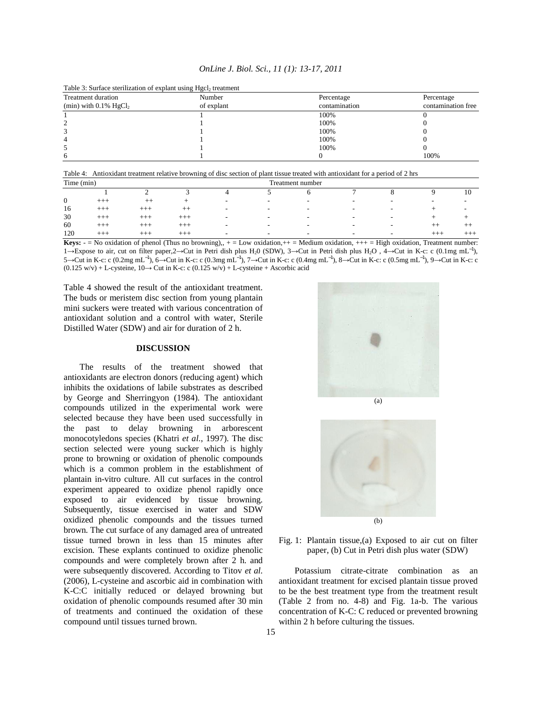| OnLine J. Biol. Sci., 11 (1): 13-17, 2011 |  |
|-------------------------------------------|--|
|-------------------------------------------|--|

| <b>Treatment duration</b><br>(min) with $0.1\%$ HgCl <sub>2</sub> | Number<br>of explant | Percentage<br>contamination | Percentage<br>contamination free |  |  |
|-------------------------------------------------------------------|----------------------|-----------------------------|----------------------------------|--|--|
|                                                                   |                      | 100%                        |                                  |  |  |
|                                                                   |                      | 100%                        |                                  |  |  |
|                                                                   |                      | 100%                        |                                  |  |  |
| 4                                                                 |                      | 100%                        |                                  |  |  |
|                                                                   |                      | 100%                        |                                  |  |  |
| 6                                                                 |                      |                             | 100%                             |  |  |

Table 3: Surface sterilization of explant using Hgcl<sub>2</sub> treatment

Table 4: Antioxidant treatment relative browning of disc section of plant tissue treated with antioxidant for a period of 2 hrs

| Time (min)   |          |          |          | Treatment number         |                          |                          |                          |                          |                          |                          |
|--------------|----------|----------|----------|--------------------------|--------------------------|--------------------------|--------------------------|--------------------------|--------------------------|--------------------------|
|              |          |          |          |                          |                          |                          | -                        |                          |                          | 10                       |
| $\mathbf{0}$ | $-++$    | $++$     |          | $\overline{\phantom{0}}$ | $\overline{\phantom{0}}$ |                          | $\overline{\phantom{a}}$ | ۰                        | $\overline{\phantom{a}}$ | $\overline{\phantom{a}}$ |
| 16           | $-++$    | $^{+++}$ | $++$     | $\overline{\phantom{a}}$ | $\overline{\phantom{0}}$ |                          | $\overline{\phantom{0}}$ | -                        | -                        | $\overline{\phantom{a}}$ |
| 30           | $+ + +$  | $^{+++}$ | $^{+++}$ | $\overline{\phantom{a}}$ |                          | $\overline{\phantom{a}}$ | $\overline{\phantom{a}}$ | -                        |                          |                          |
| 60           | للمستقبل | $^{+++}$ | $+++$    | $\overline{\phantom{a}}$ |                          | $\overline{\phantom{0}}$ | $\overline{\phantom{a}}$ | -                        | $-+$                     | ᅩ                        |
| 120          | ᅩᅩ       | $^{+++}$ | $+++$    | $\overline{\phantom{a}}$ | $\overline{\phantom{a}}$ |                          | $\overline{\phantom{0}}$ | $\overline{\phantom{0}}$ | $-++$                    | $+ + +$                  |

**Keys:**  $-$  No oxidation of phenol (Thus no browning),,  $+$  = Low oxidation,  $++$  = Medium oxidation,  $++$  = High oxidation, Treatment number: 1→Expose to air, cut on filter paper,2→Cut in Petri dish plus H20 (SDW), 3→Cut in Petri dish plus H2O , 4→Cut in K-c: c (0.1mg mL−1), 5→Cut in K-c: c (0.2mg mL−1), 6→Cut in K-c: c (0.3mg mL−1), 7→Cut in K-c: c (0.4mg mL−1), 8→Cut in K-c: c (0.5mg mL−1), 9→Cut in K-c: c (0.125 w/v) + L-cysteine, 10→ Cut in K-c: c (0.125 w/v) + L-cysteine + Ascorbic acid

Table 4 showed the result of the antioxidant treatment. The buds or meristem disc section from young plantain mini suckers were treated with various concentration of antioxidant solution and a control with water, Sterile Distilled Water (SDW) and air for duration of 2 h.

#### **DISCUSSION**

 The results of the treatment showed that antioxidants are electron donors (reducing agent) which inhibits the oxidations of labile substrates as described by George and Sherringyon (1984). The antioxidant compounds utilized in the experimental work were selected because they have been used successfully in the past to delay browning in arborescent monocotyledons species (Khatri *et al*., 1997). The disc section selected were young sucker which is highly prone to browning or oxidation of phenolic compounds which is a common problem in the establishment of plantain in-vitro culture. All cut surfaces in the control experiment appeared to oxidize phenol rapidly once exposed to air evidenced by tissue browning. Subsequently, tissue exercised in water and SDW oxidized phenolic compounds and the tissues turned brown. The cut surface of any damaged area of untreated tissue turned brown in less than 15 minutes after excision. These explants continued to oxidize phenolic compounds and were completely brown after 2 h. and were subsequently discovered. According to Titov *et al*. (2006), L-cysteine and ascorbic aid in combination with K-C:C initially reduced or delayed browning but oxidation of phenolic compounds resumed after 30 min of treatments and continued the oxidation of these compound until tissues turned brown.







 Potassium citrate-citrate combination as an antioxidant treatment for excised plantain tissue proved to be the best treatment type from the treatment result (Table 2 from no. 4-8) and Fig. 1a-b. The various concentration of K-C: C reduced or prevented browning within 2 h before culturing the tissues.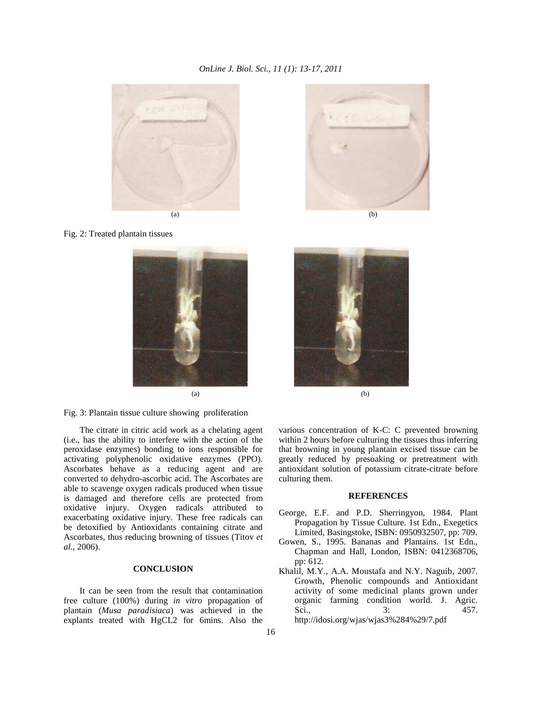## *OnLine J. Biol. Sci., 11 (1): 13-17, 2011*



Fig. 2: Treated plantain tissues





 The citrate in citric acid work as a chelating agent (i.e., has the ability to interfere with the action of the peroxidase enzymes) bonding to ions responsible for activating polyphenolic oxidative enzymes (PPO). Ascorbates behave as a reducing agent and are converted to dehydro-ascorbic acid. The Ascorbates are able to scavenge oxygen radicals produced when tissue is damaged and therefore cells are protected from oxidative injury. Oxygen radicals attributed to exacerbating oxidative injury. These free radicals can be detoxified by Antioxidants containing citrate and Ascorbates, thus reducing browning of tissues (Titov *et al*., 2006).

## **CONCLUSION**

It can be seen from the result that contamination free culture (100%) during *in vitro* propagation of plantain (*Musa paradisiaca*) was achieved in the explants treated with HgCL2 for 6mins. Also the





various concentration of K-C: C prevented browning within 2 hours before culturing the tissues thus inferring that browning in young plantain excised tissue can be greatly reduced by presoaking or pretreatment with antioxidant solution of potassium citrate-citrate before culturing them.

### **REFERENCES**

- George, E.F. and P.D. Sherringyon, 1984. Plant Propagation by Tissue Culture. 1st Edn., Exegetics Limited, Basingstoke, ISBN: 0950932507, pp: 709.
- Gowen, S., 1995. Bananas and Plantains. 1st Edn., Chapman and Hall, London, ISBN: 0412368706, pp: 612.
- Khalil, M.Y., A.A. Moustafa and N.Y. Naguib, 2007. Growth, Phenolic compounds and Antioxidant activity of some medicinal plants grown under organic farming condition world. J. Agric. Sci., 3: 457. http://idosi.org/wjas/wjas3%284%29/7.pdf